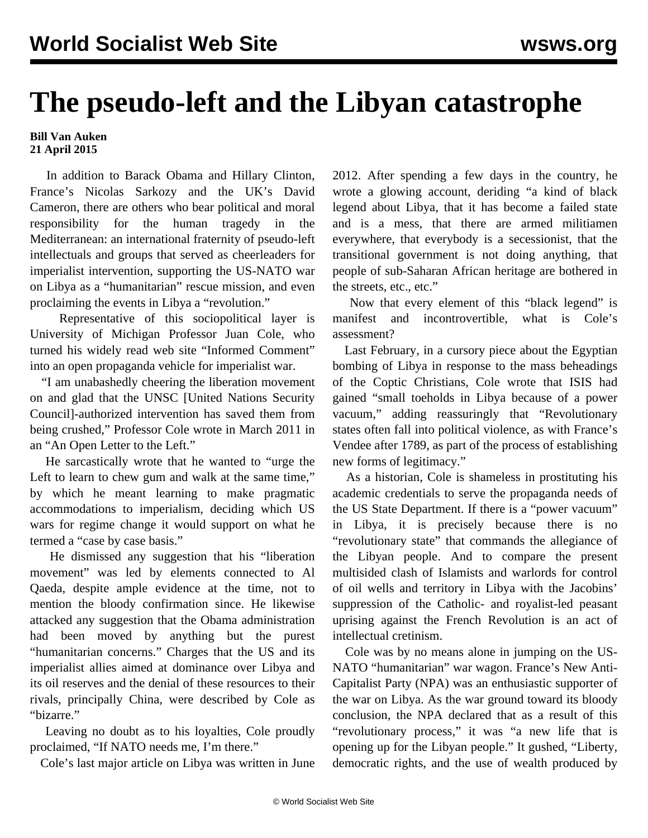## **The pseudo-left and the Libyan catastrophe**

## **Bill Van Auken 21 April 2015**

 In addition to Barack Obama and Hillary Clinton, France's Nicolas Sarkozy and the UK's David Cameron, there are others who bear political and moral responsibility for the human tragedy in the Mediterranean: an international fraternity of pseudo-left intellectuals and groups that served as cheerleaders for imperialist intervention, supporting the US-NATO war on Libya as a "humanitarian" rescue mission, and even proclaiming the events in Libya a "revolution."

 Representative of this sociopolitical layer is University of Michigan Professor Juan Cole, who turned his widely read web site "Informed Comment" into an open propaganda vehicle for imperialist war.

 "I am unabashedly cheering the liberation movement on and glad that the UNSC [United Nations Security Council]-authorized intervention has saved them from being crushed," Professor Cole wrote in March 2011 in an "An Open Letter to the Left."

 He sarcastically wrote that he wanted to "urge the Left to learn to chew gum and walk at the same time," by which he meant learning to make pragmatic accommodations to imperialism, deciding which US wars for regime change it would support on what he termed a "case by case basis."

 He dismissed any suggestion that his "liberation movement" was led by elements connected to Al Qaeda, despite ample evidence at the time, not to mention the bloody confirmation since. He likewise attacked any suggestion that the Obama administration had been moved by anything but the purest "humanitarian concerns." Charges that the US and its imperialist allies aimed at dominance over Libya and its oil reserves and the denial of these resources to their rivals, principally China, were described by Cole as "bizarre."

 Leaving no doubt as to his loyalties, Cole proudly proclaimed, "If NATO needs me, I'm there."

Cole's last major article on Libya was written in June

2012. After spending a few days in the country, he wrote a glowing account, deriding "a kind of black legend about Libya, that it has become a failed state and is a mess, that there are armed militiamen everywhere, that everybody is a secessionist, that the transitional government is not doing anything, that people of sub-Saharan African heritage are bothered in the streets, etc., etc."

 Now that every element of this "black legend" is manifest and incontrovertible, what is Cole's assessment?

 Last February, in a cursory piece about the Egyptian bombing of Libya in response to the mass beheadings of the Coptic Christians, Cole wrote that ISIS had gained "small toeholds in Libya because of a power vacuum," adding reassuringly that "Revolutionary states often fall into political violence, as with France's Vendee after 1789, as part of the process of establishing new forms of legitimacy."

 As a historian, Cole is shameless in prostituting his academic credentials to serve the propaganda needs of the US State Department. If there is a "power vacuum" in Libya, it is precisely because there is no "revolutionary state" that commands the allegiance of the Libyan people. And to compare the present multisided clash of Islamists and warlords for control of oil wells and territory in Libya with the Jacobins' suppression of the Catholic- and royalist-led peasant uprising against the French Revolution is an act of intellectual cretinism.

 Cole was by no means alone in jumping on the US-NATO "humanitarian" war wagon. France's New Anti-Capitalist Party (NPA) was an enthusiastic supporter of the war on Libya. As the war ground toward its bloody conclusion, the NPA declared that as a result of this "revolutionary process," it was "a new life that is opening up for the Libyan people." It gushed, "Liberty, democratic rights, and the use of wealth produced by